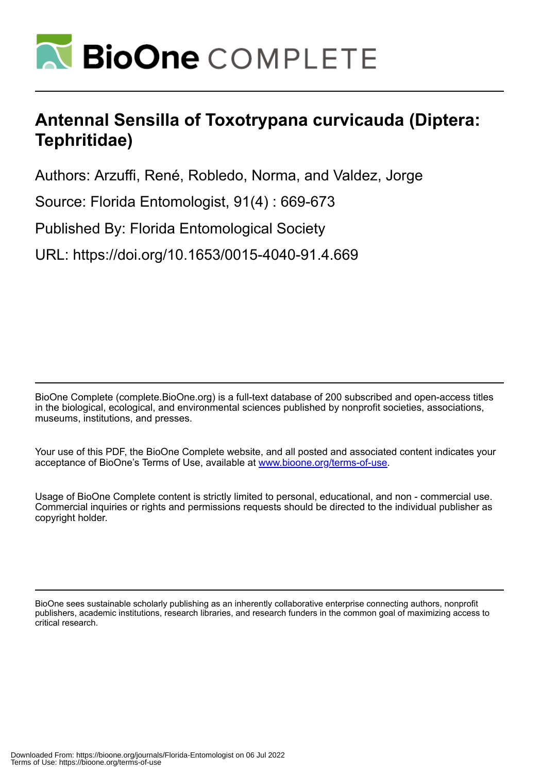

# **Antennal Sensilla of Toxotrypana curvicauda (Diptera: Tephritidae)**

Authors: Arzuffi, René, Robledo, Norma, and Valdez, Jorge

Source: Florida Entomologist, 91(4) : 669-673

Published By: Florida Entomological Society

URL: https://doi.org/10.1653/0015-4040-91.4.669

BioOne Complete (complete.BioOne.org) is a full-text database of 200 subscribed and open-access titles in the biological, ecological, and environmental sciences published by nonprofit societies, associations, museums, institutions, and presses.

Your use of this PDF, the BioOne Complete website, and all posted and associated content indicates your acceptance of BioOne's Terms of Use, available at www.bioone.org/terms-of-use.

Usage of BioOne Complete content is strictly limited to personal, educational, and non - commercial use. Commercial inquiries or rights and permissions requests should be directed to the individual publisher as copyright holder.

BioOne sees sustainable scholarly publishing as an inherently collaborative enterprise connecting authors, nonprofit publishers, academic institutions, research libraries, and research funders in the common goal of maximizing access to critical research.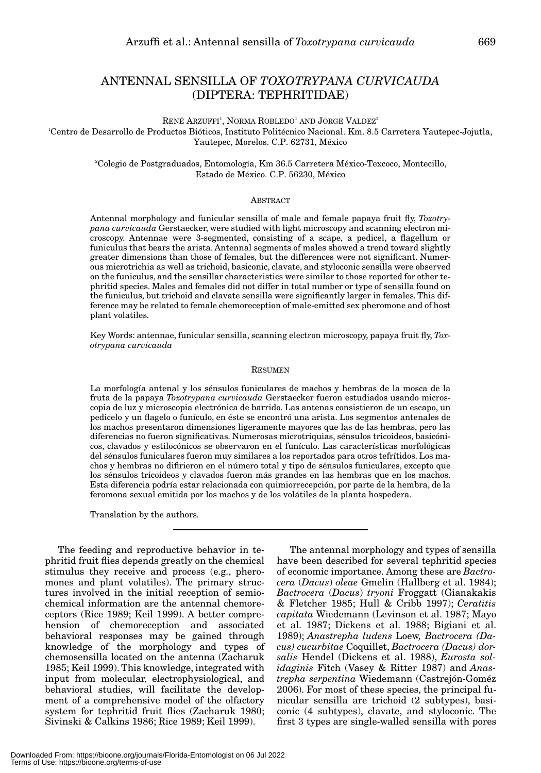# ANTENNAL SENSILLA OF *TOXOTRYPANA CURVICAUDA* (DIPTERA: TEPHRITIDAE)

 $\rm REN\acute{E}$  Arzuffi $\rm ^1,$  Norma  $\rm ROBLEDO^1$  and  $\rm JORGE$  Valdez $\rm ^2$ 

1 Centro de Desarrollo de Productos Bióticos, Instituto Politécnico Nacional. Km. 8.5 Carretera Yautepec-Jojutla, Yautepec, Morelos. C.P. 62731, México

> 2Colegio de Postgraduados, Entomología, Km 36.5 Carretera México-Texcoco, Montecillo, Estado de México. C.P. 56230, México

# $\Delta$ BSTRACT

Antennal morphology and funicular sensilla of male and female papaya fruit fly, *Toxotrypana curvicauda* Gerstaecker, were studied with light microscopy and scanning electron microscopy. Antennae were 3-segmented, consisting of a scape, a pedicel, a flagellum or funiculus that bears the arista. Antennal segments of males showed a trend toward slightly greater dimensions than those of females, but the differences were not significant. Numerous microtrichia as well as trichoid, basiconic, clavate, and styloconic sensilla were observed on the funiculus, and the sensillar characteristics were similar to those reported for other tephritid species. Males and females did not differ in total number or type of sensilla found on the funiculus, but trichoid and clavate sensilla were significantly larger in females. This difference may be related to female chemoreception of male-emitted sex pheromone and of host plant volatiles.

Key Words: antennae, funicular sensilla, scanning electron microscopy, papaya fruit fly, *Toxotrypana curvicauda*

# RESUMEN

La morfología antenal y los sénsulos funiculares de machos y hembras de la mosca de la fruta de la papaya *Toxotrypana curvicauda* Gerstaecker fueron estudiados usando microscopia de luz y microscopia electrónica de barrido. Las antenas consistieron de un escapo, un pedicelo y un flagelo o funículo, en éste se encontró una arista. Los segmentos antenales de los machos presentaron dimensiones ligeramente mayores que las de las hembras, pero las diferencias no fueron significativas. Numerosas microtriquias, sénsulos tricoideos, basicónicos, clavados y estilocónicos se observaron en el funículo. Las características morfológicas del sénsulos funiculares fueron muy similares a los reportados para otros tefrítidos. Los machos y hembras no difirieron en el número total y tipo de sénsulos funiculares, excepto que los sénsulos tricoideos y clavados fueron más grandes en las hembras que en los machos. Esta diferencia podría estar relacionada con quimiorrecepción, por parte de la hembra, de la feromona sexual emitida por los machos y de los volátiles de la planta hospedera.

Translation by the authors.

The feeding and reproductive behavior in tephritid fruit flies depends greatly on the chemical stimulus they receive and process (e.g., pheromones and plant volatiles). The primary structures involved in the initial reception of semiochemical information are the antennal chemoreceptors (Rice 1989; Keil 1999). A better comprehension of chemoreception and associated behavioral responses may be gained through knowledge of the morphology and types of chemosensilla located on the antenna (Zacharuk 1985; Keil 1999). This knowledge, integrated with input from molecular, electrophysiological, and behavioral studies, will facilitate the development of a comprehensive model of the olfactory system for tephritid fruit flies (Zacharuk 1980; Sivinski & Calkins 1986; Rice 1989; Keil 1999).

The antennal morphology and types of sensilla have been described for several tephritid species of economic importance. Among these are *Bactrocera* (*Dacus*) *oleae* Gmelin (Hallberg et al. 1984); *Bactrocera* (*Dacus*) *tryoni* Froggatt (Gianakakis & Fletcher 1985; Hull & Cribb 1997); *Ceratitis capitata* Wiedemann (Levinson et al. 1987; Mayo et al. 1987; Dickens et al. 1988; Bigiani et al. 1989); *Anastrepha ludens* Loew*, Bactrocera (Dacus) cucurbitae* Coquillet, *Bactrocera (Dacus) dorsalis* Hendel (Dickens et al. 1988), *Eurosta solidaginis* Fitch (Vasey & Ritter 1987) and *Anastrepha serpentina* Wiedemann (Castrejón-Goméz 2006). For most of these species, the principal funicular sensilla are trichoid (2 subtypes), basiconic (4 subtypes), clavate, and styloconic. The first 3 types are single-walled sensilla with pores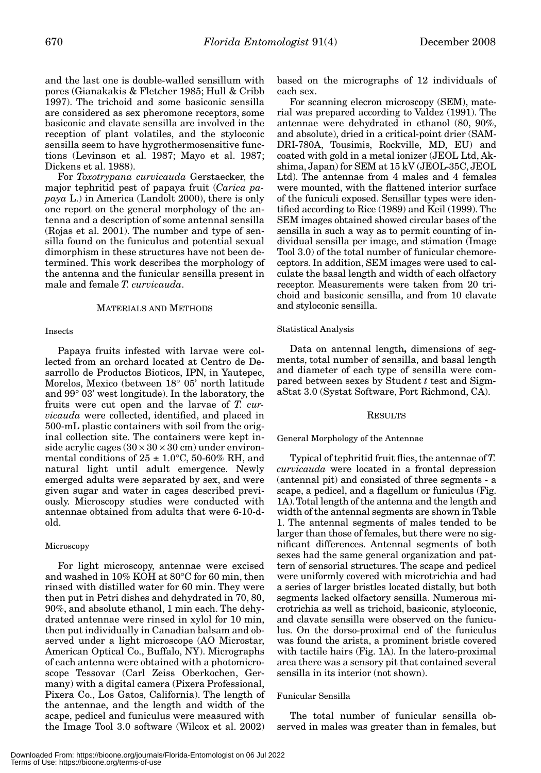and the last one is double-walled sensillum with pores (Gianakakis & Fletcher 1985; Hull & Cribb 1997). The trichoid and some basiconic sensilla are considered as sex pheromone receptors, some basiconic and clavate sensilla are involved in the reception of plant volatiles, and the styloconic sensilla seem to have hygrothermosensitive functions (Levinson et al. 1987; Mayo et al. 1987; Dickens et al. 1988).

For *Toxotrypana curvicauda* Gerstaecker, the major tephritid pest of papaya fruit (*Carica papaya* L.) in America (Landolt 2000), there is only one report on the general morphology of the antenna and a description of some antennal sensilla (Rojas et al. 2001). The number and type of sensilla found on the funiculus and potential sexual dimorphism in these structures have not been determined. This work describes the morphology of the antenna and the funicular sensilla present in male and female *T. curvicauda*.

# MATERIALS AND METHODS

#### Insects

Papaya fruits infested with larvae were collected from an orchard located at Centro de Desarrollo de Productos Bioticos, IPN, in Yautepec, Morelos, Mexico (between 18° 05' north latitude and 99° 03' west longitude). In the laboratory, the fruits were cut open and the larvae of *T. curvicauda* were collected, identified, and placed in 500-mL plastic containers with soil from the original collection site. The containers were kept inside acrylic cages  $(30 \times 30 \times 30 \text{ cm})$  under environmental conditions of  $25 \pm 1.0^{\circ}$ C, 50-60% RH, and natural light until adult emergence. Newly emerged adults were separated by sex, and were given sugar and water in cages described previously. Microscopy studies were conducted with antennae obtained from adults that were 6-10-dold.

# Microscopy

For light microscopy, antennae were excised and washed in 10% KOH at 80°C for 60 min, then rinsed with distilled water for 60 min. They were then put in Petri dishes and dehydrated in 70, 80, 90%, and absolute ethanol, 1 min each. The dehydrated antennae were rinsed in xylol for 10 min, then put individually in Canadian balsam and observed under a light microscope (AO Microstar, American Optical Co., Buffalo, NY). Micrographs of each antenna were obtained with a photomicroscope Tessovar (Carl Zeiss Oberkochen, Germany) with a digital camera (Pixera Professional, Pixera Co., Los Gatos, California). The length of the antennae, and the length and width of the scape, pedicel and funiculus were measured with the Image Tool 3.0 software (Wilcox et al. 2002)

based on the micrographs of 12 individuals of each sex.

For scanning elecron microscopy (SEM), material was prepared according to Valdez (1991). The antennae were dehydrated in ethanol (80, 90%, and absolute), dried in a critical-point drier (SAM-DRI-780A, Tousimis, Rockville, MD, EU) and coated with gold in a metal ionizer (JEOL Ltd, Akshima, Japan) for SEM at 15 kV (JEOL-35C, JEOL Ltd). The antennae from 4 males and 4 females were mounted, with the flattened interior surface of the funiculi exposed. Sensillar types were identified according to Rice (1989) and Keil (1999). The SEM images obtained showed circular bases of the sensilla in such a way as to permit counting of individual sensilla per image, and stimation (Image Tool 3.0) of the total number of funicular chemoreceptors. In addition, SEM images were used to calculate the basal length and width of each olfactory receptor. Measurements were taken from 20 trichoid and basiconic sensilla, and from 10 clavate and styloconic sensilla.

#### Statistical Analysis

Data on antennal length**,** dimensions of segments, total number of sensilla, and basal length and diameter of each type of sensilla were compared between sexes by Student *t* test and SigmaStat 3.0 (Systat Software, Port Richmond, CA).

# RESULTS

# General Morphology of the Antennae

Typical of tephritid fruit flies, the antennae of *T. curvicauda* were located in a frontal depression (antennal pit) and consisted of three segments - a scape, a pedicel, and a flagellum or funiculus (Fig. 1A). Total length of the antenna and the length and width of the antennal segments are shown in Table 1. The antennal segments of males tended to be larger than those of females, but there were no significant differences. Antennal segments of both sexes had the same general organization and pattern of sensorial structures. The scape and pedicel were uniformly covered with microtrichia and had a series of larger bristles located distally, but both segments lacked olfactory sensilla. Numerous microtrichia as well as trichoid, basiconic, styloconic, and clavate sensilla were observed on the funiculus. On the dorso-proximal end of the funiculus was found the arista, a prominent bristle covered with tactile hairs (Fig. 1A). In the latero-proximal area there was a sensory pit that contained several sensilla in its interior (not shown).

### Funicular Sensilla

The total number of funicular sensilla observed in males was greater than in females, but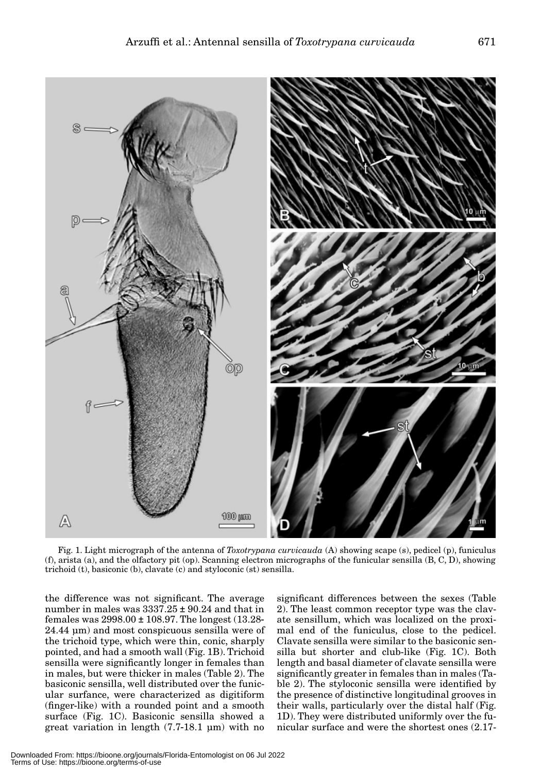

Fig. 1. Light micrograph of the antenna of *Toxotrypana curvicauda* (A) showing scape (s), pedicel (p), funiculus (f), arista (a), and the olfactory pit (op). Scanning electron micrographs of the funicular sensilla (B, C, D), showing trichoid (t), basiconic (b), clavate (c) and styloconic (st) sensilla.

the difference was not significant. The average number in males was 3337.25 ± 90.24 and that in females was 2998.00 ± 108.97. The longest (13.28- 24.44 µm) and most conspicuous sensilla were of the trichoid type, which were thin, conic, sharply pointed, and had a smooth wall (Fig. 1B). Trichoid sensilla were significantly longer in females than in males, but were thicker in males (Table 2). The basiconic sensilla, well distributed over the funicular surfance, were characterized as digitiform (finger-like) with a rounded point and a smooth surface (Fig. 1C). Basiconic sensilla showed a great variation in length (7.7-18.1 µm) with no

significant differences between the sexes (Table 2). The least common receptor type was the clavate sensillum, which was localized on the proximal end of the funiculus, close to the pedicel. Clavate sensilla were similar to the basiconic sensilla but shorter and club-like (Fig. 1C). Both length and basal diameter of clavate sensilla were significantly greater in females than in males (Table 2). The styloconic sensilla were identified by the presence of distinctive longitudinal grooves in their walls, particularly over the distal half (Fig. 1D). They were distributed uniformly over the funicular surface and were the shortest ones (2.17-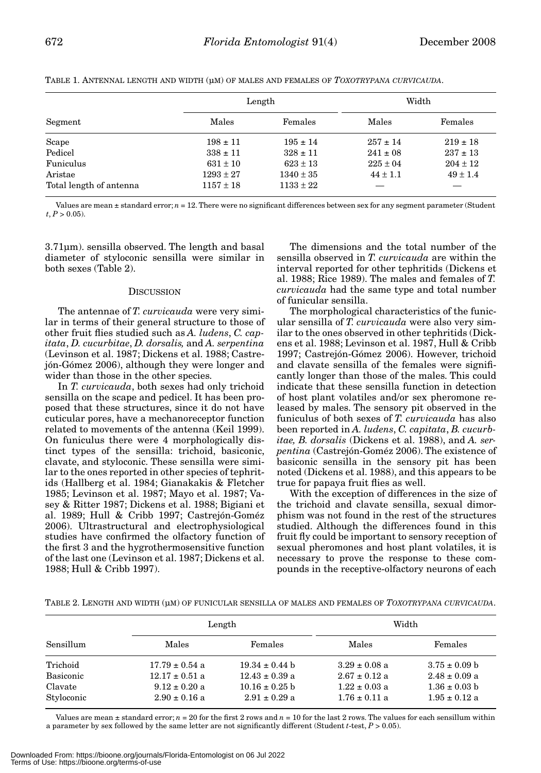| Segment                 | Length        |               | Width        |              |
|-------------------------|---------------|---------------|--------------|--------------|
|                         | Males         | Females       | Males        | Females      |
| Scape                   | $198 \pm 11$  | $195 \pm 14$  | $257 \pm 14$ | $219 \pm 18$ |
| Pedicel                 | $338 \pm 11$  | $328 \pm 11$  | $241 \pm 08$ | $237 \pm 13$ |
| Funiculus               | $631 \pm 10$  | $623 \pm 13$  | $225 \pm 04$ | $204 \pm 12$ |
| Aristae                 | $1293 \pm 27$ | $1340 \pm 35$ | $44 \pm 1.1$ | $49 \pm 1.4$ |
| Total length of antenna | $1157 \pm 18$ | $1133 \pm 22$ |              |              |

TABLE 1. ANTENNAL LENGTH AND WIDTH (µM) OF MALES AND FEMALES OF *TOXOTRYPANA CURVICAUDA*.

Values are mean ± standard error; *n* = 12. There were no significant differences between sex for any segment parameter (Student  $t, P > 0.05$ ).

3.71µm). sensilla observed. The length and basal diameter of styloconic sensilla were similar in both sexes (Table 2).

# **DISCUSSION**

The antennae of *T. curvicauda* were very similar in terms of their general structure to those of other fruit flies studied such as *A. ludens*, *C. capitata*, *D. cucurbitae*, *D. dorsalis,* and *A. serpentina* (Levinson et al. 1987; Dickens et al. 1988; Castrejón-Gómez 2006), although they were longer and wider than those in the other species.

In *T. curvicauda*, both sexes had only trichoid sensilla on the scape and pedicel. It has been proposed that these structures, since it do not have cuticular pores, have a mechanoreceptor function related to movements of the antenna (Keil 1999). On funiculus there were 4 morphologically distinct types of the sensilla: trichoid, basiconic, clavate, and styloconic. These sensilla were similar to the ones reported in other species of tephritids (Hallberg et al. 1984; Gianakakis & Fletcher 1985; Levinson et al. 1987; Mayo et al. 1987; Vasey & Ritter 1987; Dickens et al. 1988; Bigiani et al. 1989; Hull & Cribb 1997; Castrejón-Goméz 2006). Ultrastructural and electrophysiological studies have confirmed the olfactory function of the first 3 and the hygrothermosensitive function of the last one (Levinson et al. 1987; Dickens et al. 1988; Hull & Cribb 1997).

The dimensions and the total number of the sensilla observed in *T. curvicauda* are within the interval reported for other tephritids (Dickens et al. 1988; Rice 1989). The males and females of *T. curvicauda* had the same type and total number of funicular sensilla.

The morphological characteristics of the funicular sensilla of *T. curvicauda* were also very similar to the ones observed in other tephritids (Dickens et al. 1988; Levinson et al. 1987, Hull & Cribb 1997; Castrejón-Gómez 2006). However, trichoid and clavate sensilla of the females were significantly longer than those of the males. This could indicate that these sensilla function in detection of host plant volatiles and/or sex pheromone released by males. The sensory pit observed in the funiculus of both sexes of *T. curvicauda* has also been reported in *A. ludens*, *C. capitata*, *B. cucurbitae, B. dorsalis* (Dickens et al. 1988), and *A. serpentina* (Castrejón-Goméz 2006). The existence of basiconic sensilla in the sensory pit has been noted (Dickens et al. 1988), and this appears to be true for papaya fruit flies as well.

With the exception of differences in the size of the trichoid and clavate sensilla, sexual dimorphism was not found in the rest of the structures studied. Although the differences found in this fruit fly could be important to sensory reception of sexual pheromones and host plant volatiles, it is necessary to prove the response to these compounds in the receptive-olfactory neurons of each

TABLE 2. LENGTH AND WIDTH (µM) OF FUNICULAR SENSILLA OF MALES AND FEMALES OF *TOXOTRYPANA CURVICAUDA*.

|                       | Length                                 |                                         | Width                                  |                                        |
|-----------------------|----------------------------------------|-----------------------------------------|----------------------------------------|----------------------------------------|
| Sensillum             | Males                                  | Females                                 | Males                                  | Females                                |
| Trichoid              | $17.79 \pm 0.54$ a                     | $19.34 \pm 0.44$ b                      | $3.29 \pm 0.08$ a                      | $3.75 \pm 0.09$ b                      |
| Basiconic             | $12.17 \pm 0.51$ a                     | $12.43 \pm 0.39$ a                      | $2.67 \pm 0.12$ a                      | $2.48 \pm 0.09$ a                      |
| Clavate<br>Styloconic | $9.12 \pm 0.20$ a<br>$2.90 \pm 0.16$ a | $10.16 \pm 0.25$ b<br>$2.91 \pm 0.29$ a | $1.22 \pm 0.03$ a<br>$1.76 \pm 0.11$ a | $1.36 \pm 0.03$ b<br>$1.95 \pm 0.12$ a |

Values are mean  $\pm$  standard error;  $n = 20$  for the first 2 rows and  $n = 10$  for the last 2 rows. The values for each sensillum within a parameter by sex followed by the same letter are not significantly different (Student *t*-test, *P* > 0.05).